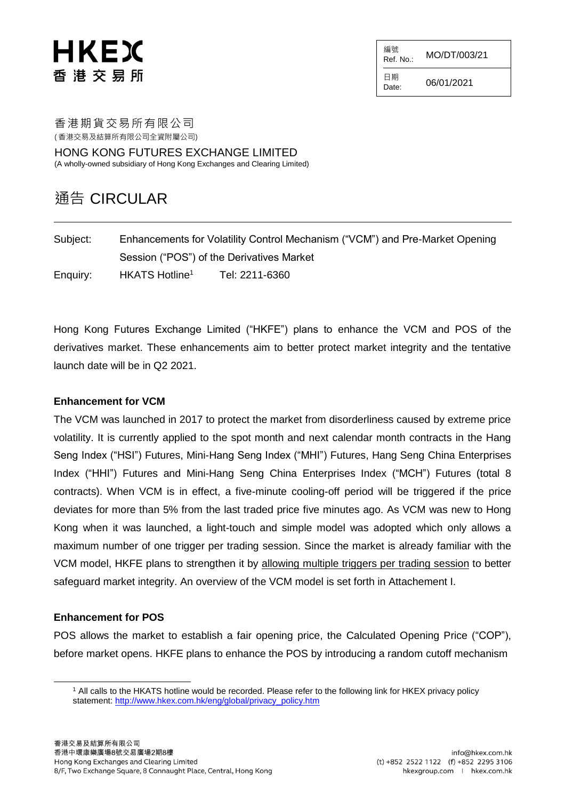# HKEX 香 港 交 易 所

編號  $R$ ef. No.: MO/DT/003/21

日期  $D_{\text{date}:}$  06/01/2021

香港期貨交易所有限公司

( 香港交易及結算所有限公司全資附屬公司)

HONG KONG FUTURES EXCHANGE LIMITED (A wholly-owned subsidiary of Hong Kong Exchanges and Clearing Limited)

### 通告 CIRCULAR

| Subject: | Enhancements for Volatility Control Mechanism ("VCM") and Pre-Market Opening |                |  |
|----------|------------------------------------------------------------------------------|----------------|--|
|          | Session ("POS") of the Derivatives Market                                    |                |  |
| Enquiry: | HKATS Hotline <sup>1</sup>                                                   | Tel: 2211-6360 |  |

Hong Kong Futures Exchange Limited ("HKFE") plans to enhance the VCM and POS of the derivatives market. These enhancements aim to better protect market integrity and the tentative launch date will be in Q2 2021.

#### **Enhancement for VCM**

The VCM was launched in 2017 to protect the market from disorderliness caused by extreme price volatility. It is currently applied to the spot month and next calendar month contracts in the Hang Seng Index ("HSI") Futures, Mini-Hang Seng Index ("MHI") Futures, Hang Seng China Enterprises Index ("HHI") Futures and Mini-Hang Seng China Enterprises Index ("MCH") Futures (total 8 contracts). When VCM is in effect, a five-minute cooling-off period will be triggered if the price deviates for more than 5% from the last traded price five minutes ago. As VCM was new to Hong Kong when it was launched, a light-touch and simple model was adopted which only allows a maximum number of one trigger per trading session. Since the market is already familiar with the VCM model, HKFE plans to strengthen it by allowing multiple triggers per trading session to better safeguard market integrity. An overview of the VCM model is set forth in Attachement I.

#### **Enhancement for POS**

l

POS allows the market to establish a fair opening price, the Calculated Opening Price ("COP"), before market opens. HKFE plans to enhance the POS by introducing a random cutoff mechanism

<sup>1</sup> All calls to the HKATS hotline would be recorded. Please refer to the following link for HKEX privacy policy statement: [http://www.hkex.com.hk/eng/global/privacy\\_policy.htm](http://www.hkex.com.hk/eng/global/privacy_policy.htm)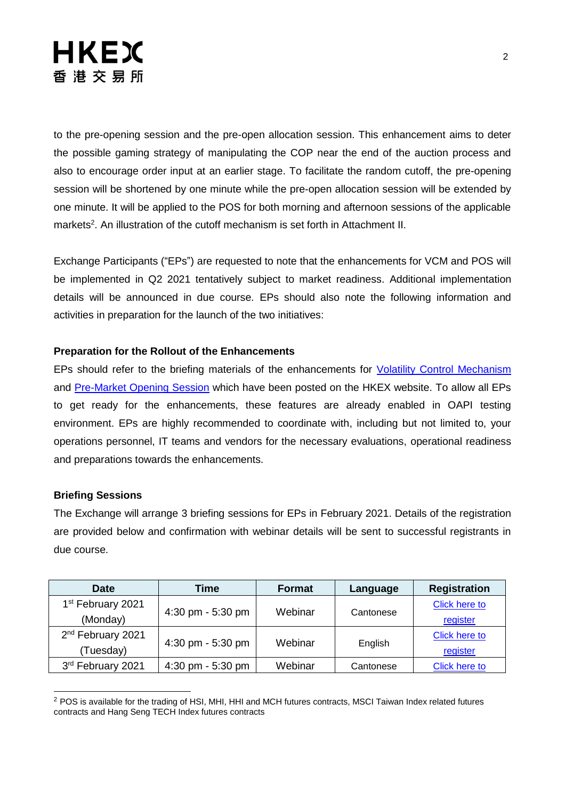# **HKEX** 香港交易所

to the pre-opening session and the pre-open allocation session. This enhancement aims to deter the possible gaming strategy of manipulating the COP near the end of the auction process and also to encourage order input at an earlier stage. To facilitate the random cutoff, the pre-opening session will be shortened by one minute while the pre-open allocation session will be extended by one minute. It will be applied to the POS for both morning and afternoon sessions of the applicable markets<sup>2</sup>. An illustration of the cutoff mechanism is set forth in Attachment II.

Exchange Participants ("EPs") are requested to note that the enhancements for VCM and POS will be implemented in Q2 2021 tentatively subject to market readiness. Additional implementation details will be announced in due course. EPs should also note the following information and activities in preparation for the launch of the two initiatives:

#### **Preparation for the Rollout of the Enhancements**

EPs should refer to the briefing materials of the enhancements for [Volatility Control Mechanism](https://www.hkex.com.hk/Services/Trading/Derivatives/Overview/Trading-Mechanism/Volatility-Control-Mechanism-(VCM)?sc_lang=en) and [Pre-Market Opening Session](https://www.hkex.com.hk/Services/Trading/Derivatives/Overview/Trading-Mechanism/Pre-Market-Opening-Period?sc_lang=en) which have been posted on the HKEX website. To allow all EPs to get ready for the enhancements, these features are already enabled in OAPI testing environment. EPs are highly recommended to coordinate with, including but not limited to, your operations personnel, IT teams and vendors for the necessary evaluations, operational readiness and preparations towards the enhancements.

#### **Briefing Sessions**

l

The Exchange will arrange 3 briefing sessions for EPs in February 2021. Details of the registration are provided below and confirmation with webinar details will be sent to successful registrants in due course.

| <b>Date</b>                   | Time                | <b>Format</b> | Language  | <b>Registration</b> |
|-------------------------------|---------------------|---------------|-----------|---------------------|
| 1 <sup>st</sup> February 2021 |                     | Webinar       | Cantonese | Click here to       |
| (Monday)                      | 4:30 pm - 5:30 pm   |               |           | register            |
| 2 <sup>nd</sup> February 2021 |                     | Webinar       | English   | Click here to       |
| Tuesday)                      | 4:30 pm - 5:30 pm   |               |           | register            |
| 3rd February 2021             | 4:30 pm - $5:30$ pm | Webinar       | Cantonese | Click here to       |

<sup>2</sup> POS is available for the trading of HSI, MHI, HHI and MCH futures contracts, MSCI Taiwan Index related futures contracts and Hang Seng TECH Index futures contracts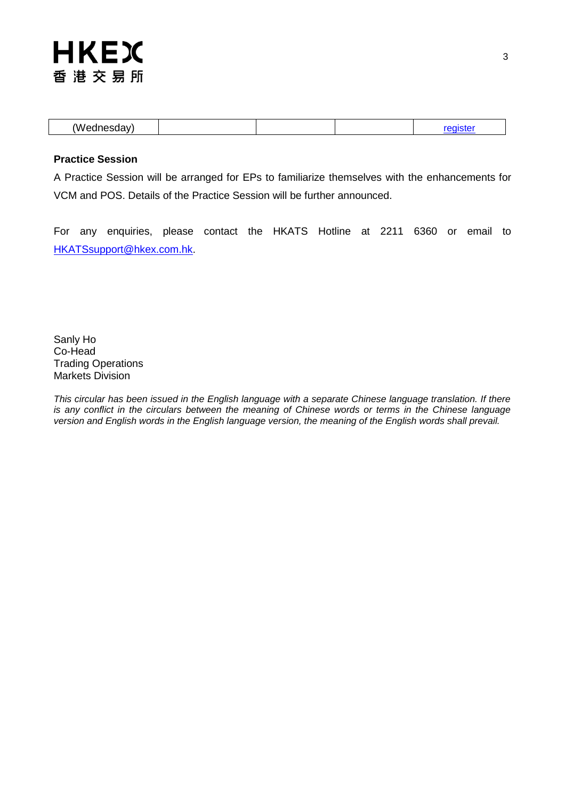## **HKEX** 香港交易所

#### **Practice Session**

A Practice Session will be arranged for EPs to familiarize themselves with the enhancements for VCM and POS. Details of the Practice Session will be further announced.

For any enquiries, please contact the HKATS Hotline at 2211 6360 or email to [HKATSsupport@hkex.com.hk.](mailto:HKATSsupport@hkex.com.hk)

Sanly Ho Co-Head Trading Operations Markets Division

*This circular has been issued in the English language with a separate Chinese language translation. If there is any conflict in the circulars between the meaning of Chinese words or terms in the Chinese language version and English words in the English language version, the meaning of the English words shall prevail.*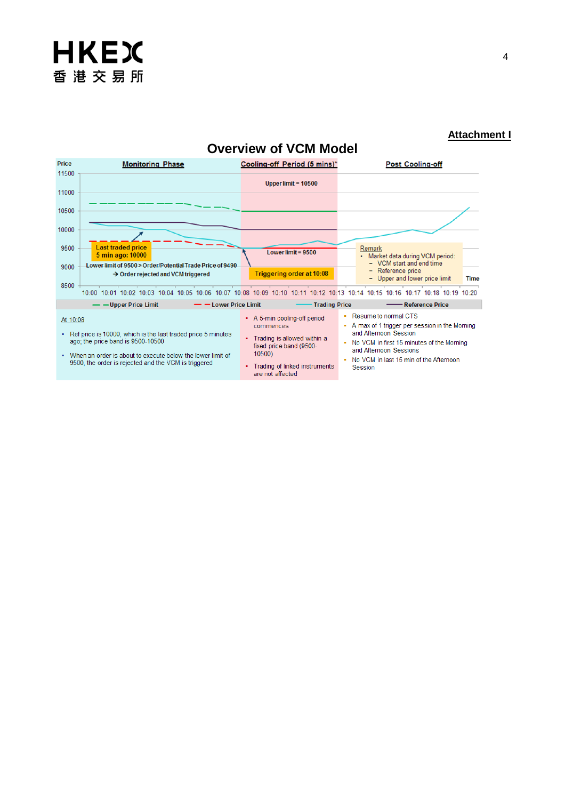

#### **Attachment I**





are not affected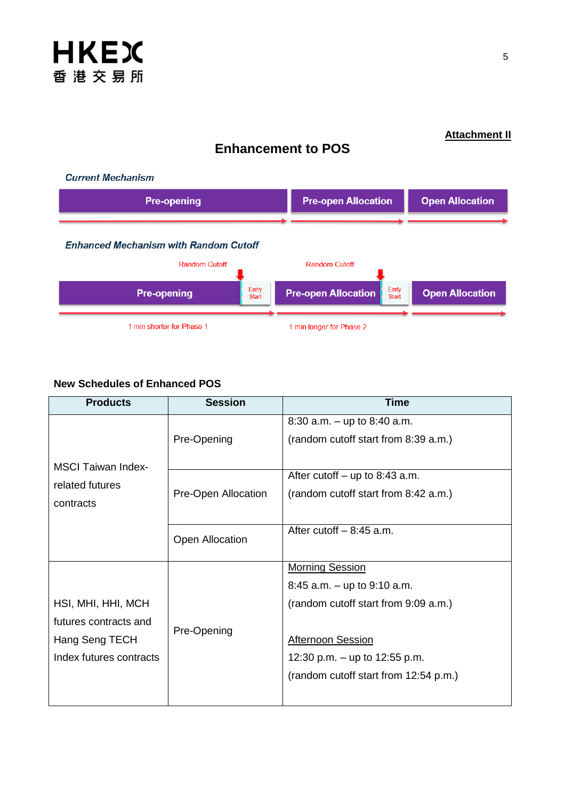

**Enhancement to POS**

### **New Schedules of Enhanced POS**

| <b>Products</b>           | <b>Session</b>      | <b>Time</b>                           |
|---------------------------|---------------------|---------------------------------------|
|                           | Pre-Opening         | 8:30 a.m. $-$ up to 8:40 a.m.         |
|                           |                     | (random cutoff start from 8:39 a.m.)  |
| <b>MSCI Taiwan Index-</b> |                     |                                       |
| related futures           |                     | After cutoff $-$ up to 8:43 a.m.      |
| contracts                 | Pre-Open Allocation | (random cutoff start from 8:42 a.m.)  |
|                           |                     |                                       |
|                           | Open Allocation     | After cutoff $-8:45$ a.m.             |
|                           |                     |                                       |
|                           | Pre-Opening         | <b>Morning Session</b>                |
|                           |                     | 8:45 a.m. $-$ up to 9:10 a.m.         |
| HSI, MHI, HHI, MCH        |                     | (random cutoff start from 9:09 a.m.)  |
| futures contracts and     |                     |                                       |
| Hang Seng TECH            |                     | <b>Afternoon Session</b>              |
| Index futures contracts   |                     | 12:30 p.m. $-$ up to 12:55 p.m.       |
|                           |                     | (random cutoff start from 12:54 p.m.) |
|                           |                     |                                       |

### **Attachment II**